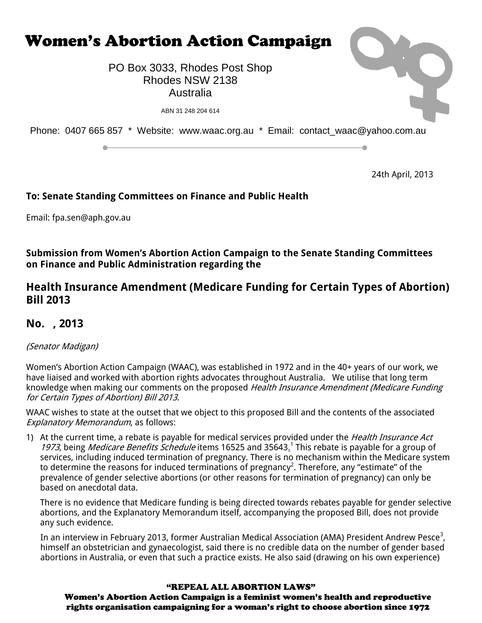

24th April, 2013

# **To: Senate Standing Committees on Finance and Public Health**

Email: [fpa.sen@aph.gov.au](mailto:fpa.sen@aph.gov.au)

## **Submission from Women's Abortion Action Campaign to the Senate Standing Committees on Finance and Public Administration regarding the**

# **Health Insurance Amendment (Medicare Funding for Certain Types of Abortion) Bill 2013**

# **No. , 2013**

# (Senator Madigan)

Women's Abortion Action Campaign (WAAC), was established in 1972 and in the 40+ years of our work, we have liaised and worked with abortion rights advocates throughout Australia. We utilise that long term knowledge when making our comments on the proposed Health Insurance Amendment (Medicare Funding for Certain Types of Abortion) Bill 2013.

WAAC wishes to state at the outset that we object to this proposed Bill and the contents of the associated Explanatory Memorandum, as follows:

1) At the current time, a rebate is payable for medical services provided under the *Health Insurance Act* 1973, being Medicare Benefits Schedule items 16525 and 35643.<sup>1</sup> This rebate is payable for a group of services, including induced termination of pregnancy. There is no mechanism within the Medicare system to determine the reasons for induced terminations of pregnancy<sup>2</sup>. Therefore, any "estimate" of the prevalence of gender selective abortions (or other reasons for termination of pregnancy) can only be based on anecdotal data.

There is no evidence that Medicare funding is being directed towards rebates payable for gender selective abortions, and the Explanatory Memorandum itself, accompanying the proposed Bill, does not provide any such evidence.

In an interview in February 2013, former Australian Medical Association (AMA) President Andrew Pesce $^3$ , himself an obstetrician and gynaecologist, said there is no credible data on the number of gender based abortions in Australia, or even that such a practice exists. He also said (drawing on his own experience)

### "REPEAL ALL ABORTION LAWS"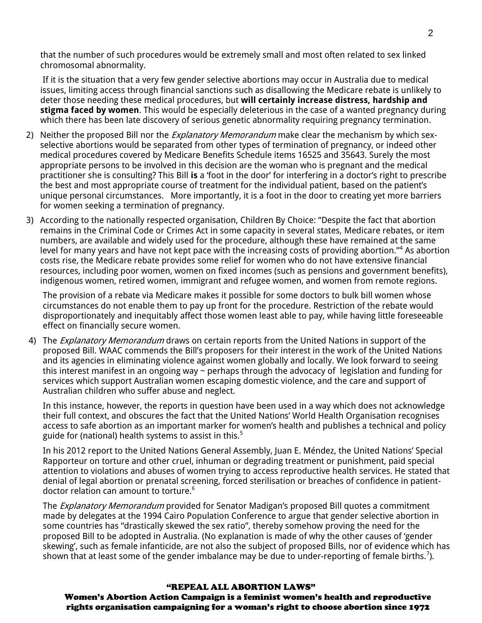that the number of such procedures would be extremely small and most often related to sex linked chromosomal abnormality.

If it is the situation that a very few gender selective abortions may occur in Australia due to medical issues, limiting access through financial sanctions such as disallowing the Medicare rebate is unlikely to deter those needing these medical procedures, but **will certainly increase distress, hardship and stigma faced by women**. This would be especially deleterious in the case of a wanted pregnancy during which there has been late discovery of serious genetic abnormality requiring pregnancy termination.

- 2) Neither the proposed Bill nor the *Explanatory Memorandum* make clear the mechanism by which sexselective abortions would be separated from other types of termination of pregnancy, or indeed other medical procedures covered by Medicare Benefits Schedule items 16525 and 35643. Surely the most appropriate persons to be involved in this decision are the woman who is pregnant and the medical practitioner she is consulting? This Bill **is** a 'foot in the door' for interfering in a doctor's right to prescribe the best and most appropriate course of treatment for the individual patient, based on the patient's unique personal circumstances. More importantly, it is a foot in the door to creating yet more barriers for women seeking a termination of pregnancy.
- 3) According to the nationally respected organisation, Children By Choice: "Despite the fact that abortion remains in the Criminal Code or Crimes Act in some capacity in several states, Medicare rebates, or item numbers, are available and widely used for the procedure, although these have remained at the same level for many years and have not kept pace with the increasing costs of providing abortion."<sup>4</sup> As abortion costs rise, the Medicare rebate provides some relief for women who do not have extensive financial resources, including poor women, women on fixed incomes (such as pensions and government benefits), indigenous women, retired women, immigrant and refugee women, and women from remote regions.

The provision of a rebate via Medicare makes it possible for some doctors to bulk bill women whose circumstances do not enable them to pay up front for the procedure. Restriction of the rebate would disproportionately and inequitably affect those women least able to pay, while having little foreseeable effect on financially secure women.

4) The *Explanatory Memorandum* draws on certain reports from the United Nations in support of the proposed Bill. WAAC commends the Bill's proposers for their interest in the work of the United Nations and its agencies in eliminating violence against women globally and locally. We look forward to seeing this interest manifest in an ongoing way  $\sim$  perhaps through the advocacy of legislation and funding for services which support Australian women escaping domestic violence, and the care and support of Australian children who suffer abuse and neglect.

In this instance, however, the reports in question have been used in a way which does not acknowledge their full context, and obscures the fact that the United Nations' World Health Organisation recognises access to safe abortion as an important marker for women's health and publishes a technical and policy guide for (national) health systems to assist in this. $^5$ 

In his 2012 report to the United Nations General Assembly, Juan E. Méndez, the United Nations' Special Rapporteur on torture and other cruel, inhuman or degrading treatment or punishment, paid special attention to violations and abuses of women trying to access reproductive health services. He stated that denial of legal abortion or prenatal screening, forced sterilisation or breaches of confidence in patientdoctor relation can amount to torture.<sup>6</sup>

The *Explanatory Memorandum* provided for Senator Madigan's proposed Bill quotes a commitment made by delegates at the 1994 Cairo Population Conference to argue that gender selective abortion in some countries has "drastically skewed the sex ratio", thereby somehow proving the need for the proposed Bill to be adopted in Australia. (No explanation is made of why the other causes of 'gender skewing', such as female infanticide, are not also the subject of proposed Bills, nor of evidence which has shown that at least some of the gender imbalance may be due to under-reporting of female births.<sup>7</sup>).

#### "REPEAL ALL ABORTION LAWS"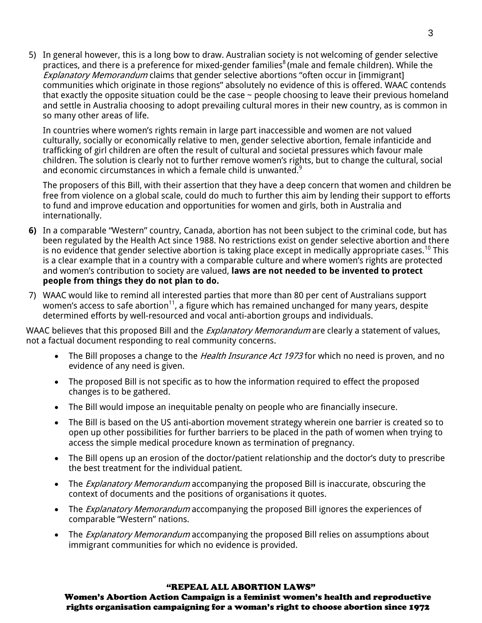5) In general however, this is a long bow to draw. Australian society is not welcoming of gender selective practices, and there is a preference for mixed-gender families<sup>8</sup> (male and female children). While the **Explanatory Memorandum claims that gender selective abortions "often occur in [immigrant]** communities which originate in those regions" absolutely no evidence of this is offered. WAAC contends that exactly the opposite situation could be the case  $\sim$  people choosing to leave their previous homeland and settle in Australia choosing to adopt prevailing cultural mores in their new country, as is common in so many other areas of life.

In countries where women's rights remain in large part inaccessible and women are not valued culturally, socially or economically relative to men, gender selective abortion, female infanticide and trafficking of girl children are often the result of cultural and societal pressures which favour male children. The solution is clearly not to further remove women's rights, but to change the cultural, social and economic circumstances in which a female child is unwanted. $9$ 

The proposers of this Bill, with their assertion that they have a deep concern that women and children be free from violence on a global scale, could do much to further this aim by lending their support to efforts to fund and improve education and opportunities for women and girls, both in Australia and internationally.

- **6)** In a comparable "Western" country, Canada, abortion has not been subject to the criminal code, but has been regulated by the Health Act since 1988. No restrictions exist on gender selective abortion and there is no evidence that gender selective abortion is taking place except in medically appropriate cases.<sup>10</sup> This is a clear example that in a country with a comparable culture and where women's rights are protected and women's contribution to society are valued, **laws are not needed to be invented to protect people from things they do not plan to do.**
- 7) WAAC would like to remind all interested parties that more than 80 per cent of Australians support women's access to safe abortion<sup>11</sup>, a figure which has remained unchanged for many years, despite determined efforts by well-resourced and vocal anti-abortion groups and individuals.

WAAC believes that this proposed Bill and the *Explanatory Memorandum* are clearly a statement of values, not a factual document responding to real community concerns.

- The Bill proposes a change to the *Health Insurance Act 1973* for which no need is proven, and no evidence of any need is given.
- The proposed Bill is not specific as to how the information required to effect the proposed changes is to be gathered.
- The Bill would impose an inequitable penalty on people who are financially insecure.
- The Bill is based on the US anti-abortion movement strategy wherein one barrier is created so to open up other possibilities for further barriers to be placed in the path of women when trying to access the simple medical procedure known as termination of pregnancy.
- The Bill opens up an erosion of the doctor/patient relationship and the doctor's duty to prescribe the best treatment for the individual patient.
- The *Explanatory Memorandum* accompanying the proposed Bill is inaccurate, obscuring the context of documents and the positions of organisations it quotes.
- The *Explanatory Memorandum* accompanying the proposed Bill ignores the experiences of comparable "Western" nations.
- The *Explanatory Memorandum* accompanying the proposed Bill relies on assumptions about immigrant communities for which no evidence is provided.

#### "REPEAL ALL ABORTION LAWS"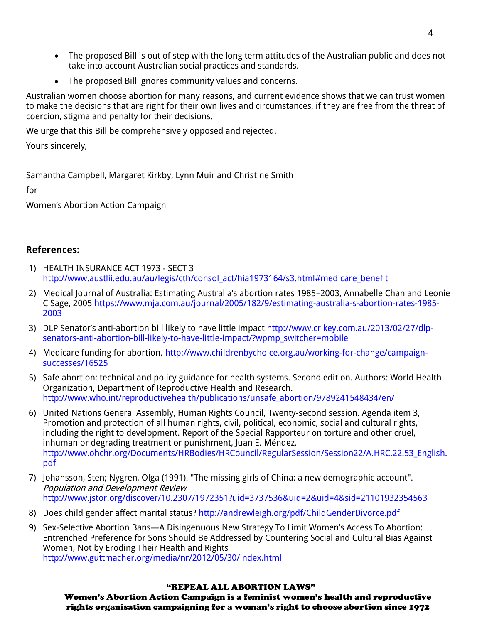- The proposed Bill is out of step with the long term attitudes of the Australian public and does not take into account Australian social practices and standards.
- The proposed Bill ignores community values and concerns.

Australian women choose abortion for many reasons, and current evidence shows that we can trust women to make the decisions that are right for their own lives and circumstances, if they are free from the threat of coercion, stigma and penalty for their decisions.

We urge that this Bill be comprehensively opposed and rejected.

Yours sincerely,

Samantha Campbell, Margaret Kirkby, Lynn Muir and Christine Smith

for

Women's Abortion Action Campaign

### **References:**

- 1) HEALTH INSURANCE ACT 1973 SECT 3 [http://www.austlii.edu.au/au/legis/cth/consol\\_act/hia1973164/s3.html#medicare\\_benefit](http://www.austlii.edu.au/au/legis/cth/consol_act/hia1973164/s3.html#medicare_benefit)
- 2) Medical Journal of Australia: Estimating Australia's abortion rates 1985–2003, Annabelle Chan and Leonie C Sage, 200[5 https://www.mja.com.au/journal/2005/182/9/estimating-australia-s-abortion-rates-1985-](https://www.mja.com.au/journal/2005/182/9/estimating-australia-s-abortion-rates-1985-2003) [2003](https://www.mja.com.au/journal/2005/182/9/estimating-australia-s-abortion-rates-1985-2003)
- 3) DLP Senator's anti-abortion bill likely to have little impact [http://www.crikey.com.au/2013/02/27/dlp](http://www.crikey.com.au/2013/02/27/dlp-senators-anti-abortion-bill-likely-to-have-little-impact/?wpmp_switcher=mobile)[senators-anti-abortion-bill-likely-to-have-little-impact/?wpmp\\_switcher=mobile](http://www.crikey.com.au/2013/02/27/dlp-senators-anti-abortion-bill-likely-to-have-little-impact/?wpmp_switcher=mobile)
- 4) Medicare funding for abortion. [http://www.childrenbychoice.org.au/working-for-change/campaign](http://www.childrenbychoice.org.au/working-for-change/campaign-successes/16525)[successes/16525](http://www.childrenbychoice.org.au/working-for-change/campaign-successes/16525)
- 5) Safe abortion: technical and policy guidance for health systems. Second edition. Authors: World Health Organization, Department of Reproductive Health and Research. [http://www.who.int/reproductivehealth/publications/unsafe\\_abortion/9789241548434/en/](http://www.who.int/reproductivehealth/publications/unsafe_abortion/9789241548434/en/)
- 6) United Nations General Assembly, Human Rights Council, Twenty-second session. Agenda item 3, Promotion and protection of all human rights, civil, political, economic, social and cultural rights, including the right to development. Report of the Special Rapporteur on torture and other cruel, inhuman or degrading treatment or punishment, Juan E. Méndez. [http://www.ohchr.org/Documents/HRBodies/HRCouncil/RegularSession/Session22/A.HRC.22.53\\_English.](http://www.ohchr.org/Documents/HRBodies/HRCouncil/RegularSession/Session22/A.HRC.22.53_English.pdf) [pdf](http://www.ohchr.org/Documents/HRBodies/HRCouncil/RegularSession/Session22/A.HRC.22.53_English.pdf)
- 7) Johansson, Sten; Nygren, Olga (1991). "The missing girls of China: a new demographic account". Population and Development Review <http://www.jstor.org/discover/10.2307/1972351?uid=3737536&uid=2&uid=4&sid=21101932354563>
- 8) Does child gender affect marital status?<http://andrewleigh.org/pdf/ChildGenderDivorce.pdf>
- 9) Sex-Selective Abortion Bans—A Disingenuous New Strategy To Limit Women's Access To Abortion: Entrenched Preference for Sons Should Be Addressed by Countering Social and Cultural Bias Against Women, Not by Eroding Their Health and Rights <http://www.guttmacher.org/media/nr/2012/05/30/index.html>

### "REPEAL ALL ABORTION LAWS"